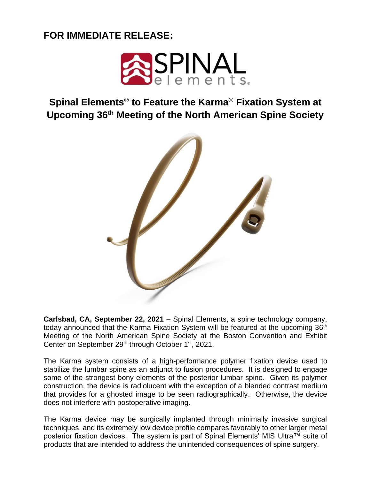## **FOR IMMEDIATE RELEASE:**



**Spinal Elements® to Feature the Karma**® **Fixation System at Upcoming 36th Meeting of the North American Spine Society** 



**Carlsbad, CA, September 22, 2021** – Spinal Elements, a spine technology company, today announced that the Karma Fixation System will be featured at the upcoming 36<sup>th</sup> Meeting of the North American Spine Society at the Boston Convention and Exhibit Center on September 29<sup>th</sup> through October 1<sup>st</sup>, 2021.

The Karma system consists of a high-performance polymer fixation device used to stabilize the lumbar spine as an adjunct to fusion procedures. It is designed to engage some of the strongest bony elements of the posterior lumbar spine. Given its polymer construction, the device is radiolucent with the exception of a blended contrast medium that provides for a ghosted image to be seen radiographically. Otherwise, the device does not interfere with postoperative imaging.

The Karma device may be surgically implanted through minimally invasive surgical techniques, and its extremely low device profile compares favorably to other larger metal posterior fixation devices. The system is part of Spinal Elements' MIS Ultra™ suite of products that are intended to address the unintended consequences of spine surgery.